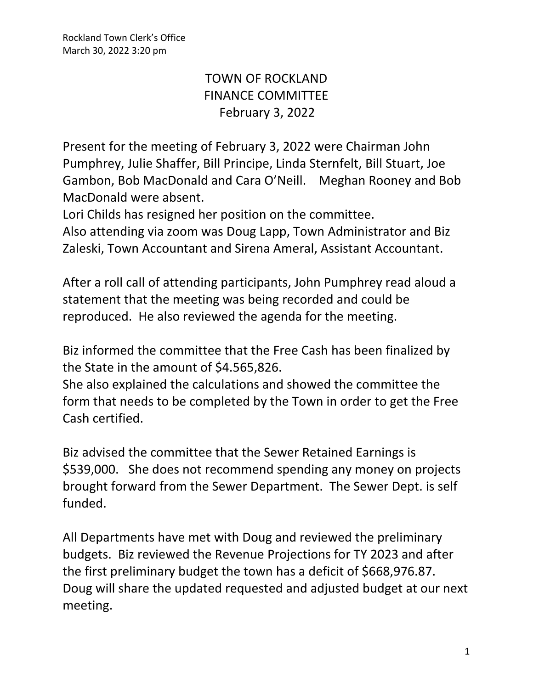## TOWN OF ROCKLAND FINANCE COMMITTEE February 3, 2022

Present for the meeting of February 3, 2022 were Chairman John Pumphrey, Julie Shaffer, Bill Principe, Linda Sternfelt, Bill Stuart, Joe Gambon, Bob MacDonald and Cara O'Neill. Meghan Rooney and Bob MacDonald were absent.

Lori Childs has resigned her position on the committee.

Also attending via zoom was Doug Lapp, Town Administrator and Biz Zaleski, Town Accountant and Sirena Ameral, Assistant Accountant.

After a roll call of attending participants, John Pumphrey read aloud a statement that the meeting was being recorded and could be reproduced. He also reviewed the agenda for the meeting.

Biz informed the committee that the Free Cash has been finalized by the State in the amount of \$4.565,826.

She also explained the calculations and showed the committee the form that needs to be completed by the Town in order to get the Free Cash certified.

Biz advised the committee that the Sewer Retained Earnings is \$539,000. She does not recommend spending any money on projects brought forward from the Sewer Department. The Sewer Dept. is self funded.

All Departments have met with Doug and reviewed the preliminary budgets. Biz reviewed the Revenue Projections for TY 2023 and after the first preliminary budget the town has a deficit of \$668,976.87. Doug will share the updated requested and adjusted budget at our next meeting.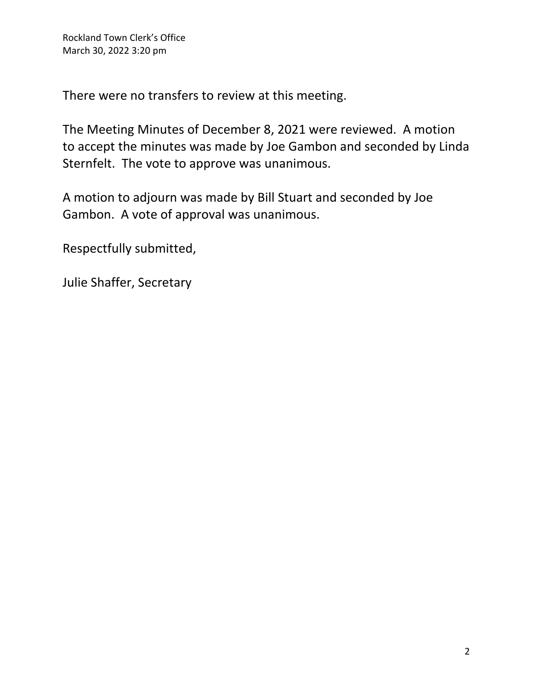There were no transfers to review at this meeting.

The Meeting Minutes of December 8, 2021 were reviewed. A motion to accept the minutes was made by Joe Gambon and seconded by Linda Sternfelt. The vote to approve was unanimous.

A motion to adjourn was made by Bill Stuart and seconded by Joe Gambon. A vote of approval was unanimous.

Respectfully submitted,

Julie Shaffer, Secretary